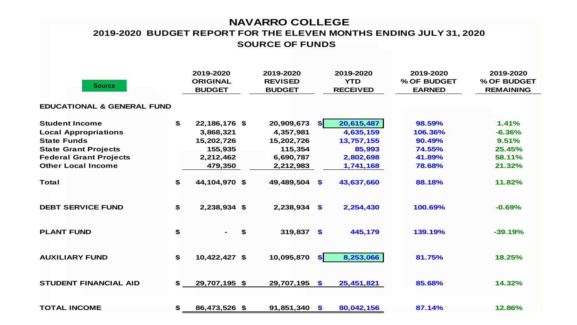## **NAVARRO COLLEGE SOURCE OF FUNDS 2019-2020 BUDGET REPORT FOR THE ELEVEN MONTHS ENDING JULY 31, 2020**

| <b>Source</b>                         |     | 2019-2020<br><b>ORIGINAL</b><br><b>BUDGET</b> | 2019-2020<br><b>REVISED</b><br><b>BUDGET</b> | 2019-2020<br><b>YTD</b><br><b>RECEIVED</b> | 2019-2020<br>% OF BUDGET<br><b>EARNED</b> | 2019-2020<br>% OF BUDGET<br><b>REMAINING</b> |
|---------------------------------------|-----|-----------------------------------------------|----------------------------------------------|--------------------------------------------|-------------------------------------------|----------------------------------------------|
| <b>EDUCATIONAL &amp; GENERAL FUND</b> |     |                                               |                                              |                                            |                                           |                                              |
| <b>Student Income</b>                 | \$  | 22,186,176 \$                                 | 20,909,673                                   | 20,615,487<br>$\mathbf{s}$                 | 98.59%                                    | 1.41%                                        |
| <b>Local Appropriations</b>           |     | 3,868,321                                     | 4,357,981                                    | 4,635,159                                  | 106.36%                                   | $-6.36%$                                     |
| <b>State Funds</b>                    |     | 15,202,726                                    | 15,202,726                                   | 13,757,155                                 | 90.49%                                    | 9.51%                                        |
| <b>State Grant Projects</b>           |     | 155,935                                       | 115,354                                      | 85,993                                     | 74.55%                                    | 25.45%                                       |
| <b>Federal Grant Projects</b>         |     | 2,212,462                                     | 6,690,787                                    | 2,802,698                                  | 41.89%                                    | 58.11%                                       |
| <b>Other Local Income</b>             |     | 479,350                                       | 2,212,983                                    | 1,741,168                                  | 78.68%                                    | 21.32%                                       |
| <b>Total</b>                          | \$  | 44,104,970 \$                                 | 49,489,504                                   | \$<br>43,637,660                           | 88.18%                                    | 11.82%                                       |
| <b>DEBT SERVICE FUND</b>              | \$  | 2,238,934 \$                                  | 2,238,934                                    | \$<br>2,254,430                            | 100.69%                                   | $-0.69%$                                     |
| <b>PLANT FUND</b>                     | \$  |                                               | \$<br>319,837 \$                             | 445,179                                    | 139.19%                                   | $-39.19%$                                    |
| <b>AUXILIARY FUND</b>                 | \$  | 10,422,427 \$                                 | 10,095,870                                   | 8,253,066<br>S <sub>1</sub>                | 81.75%                                    | 18.25%                                       |
| <b>STUDENT FINANCIAL AID</b>          | \$. | 29,707,195 \$                                 | 29,707,195                                   | $\mathbf{S}$<br>25,451,821                 | 85.68%                                    | 14.32%                                       |
| <b>TOTAL INCOME</b>                   | \$  | 86,473,526 \$                                 | 91,851,340                                   | 80,042,156<br>$\mathbf{\$}$                | 87.14%                                    | 12.86%                                       |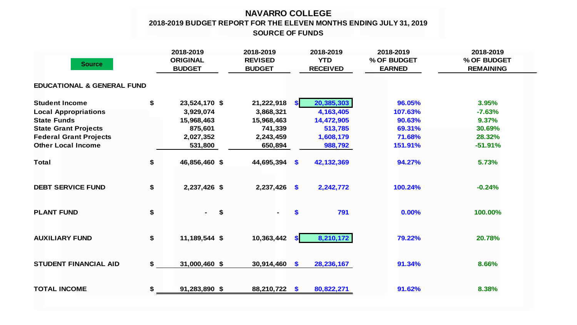## **NAVARRO COLLEGE 2018-2019 BUDGET REPORT FOR THE ELEVEN MONTHS ENDING JULY 31, 2019 SOURCE OF FUNDS**

| <b>Source</b>                         |    | 2018-2019<br><b>ORIGINAL</b><br><b>BUDGET</b> | 2018-2019<br><b>REVISED</b><br><b>BUDGET</b> | 2018-2019<br><b>YTD</b><br><b>RECEIVED</b> | 2018-2019<br>% OF BUDGET<br><b>EARNED</b> | 2018-2019<br>% OF BUDGET<br><b>REMAINING</b> |
|---------------------------------------|----|-----------------------------------------------|----------------------------------------------|--------------------------------------------|-------------------------------------------|----------------------------------------------|
| <b>EDUCATIONAL &amp; GENERAL FUND</b> |    |                                               |                                              |                                            |                                           |                                              |
| <b>Student Income</b>                 | \$ | 23,524,170 \$                                 | 21,222,918                                   | 20,385,303<br><b>SI</b>                    | 96.05%                                    | 3.95%                                        |
| <b>Local Appropriations</b>           |    | 3,929,074                                     | 3,868,321                                    | 4,163,405                                  | 107.63%                                   | $-7.63%$                                     |
| <b>State Funds</b>                    |    | 15,968,463                                    | 15,968,463                                   | 14,472,905                                 | 90.63%                                    | 9.37%                                        |
| <b>State Grant Projects</b>           |    | 875,601                                       | 741,339                                      | 513,785                                    | 69.31%                                    | 30.69%                                       |
| <b>Federal Grant Projects</b>         |    | 2,027,352                                     | 2,243,459                                    | 1,608,179                                  | 71.68%                                    | 28.32%                                       |
| <b>Other Local Income</b>             |    | 531,800                                       | 650,894                                      | 988,792                                    | 151.91%                                   | $-51.91%$                                    |
| <b>Total</b>                          | \$ | 46,856,460 \$                                 | 44,695,394 \$                                | 42,132,369                                 | 94.27%                                    | 5.73%                                        |
| <b>DEBT SERVICE FUND</b>              | \$ | 2,237,426 \$                                  | 2,237,426                                    | $\boldsymbol{\mathsf{s}}$<br>2,242,772     | 100.24%                                   | $-0.24%$                                     |
| <b>PLANT FUND</b>                     | \$ | \$                                            |                                              | 791<br>\$                                  | 0.00%                                     | 100.00%                                      |
| <b>AUXILIARY FUND</b>                 | \$ | 11,189,544 \$                                 | 10,363,442                                   | 8,210,172<br><b>SI</b>                     | 79.22%                                    | 20.78%                                       |
| <b>STUDENT FINANCIAL AID</b>          | \$ | 31,000,460 \$                                 | 30,914,460                                   | 28,236,167<br>$\mathbf{\$}$                | 91.34%                                    | 8.66%                                        |
| <b>TOTAL INCOME</b>                   | \$ | 91,283,890 \$                                 | 88,210,722 \$                                | 80,822,271                                 | 91.62%                                    | 8.38%                                        |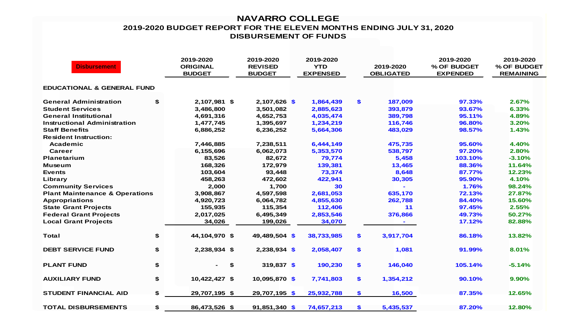## **NAVARRO COLLEGE 2019-2020 BUDGET REPORT FOR THE ELEVEN MONTHS ENDING JULY 31, 2020 DISBURSEMENT OF FUNDS**

| <b>Disbursement</b>                       |    | 2019-2020<br><b>ORIGINAL</b><br><b>BUDGET</b> | 2019-2020<br><b>REVISED</b><br><b>BUDGET</b> | 2019-2020<br><b>YTD</b><br><b>EXPENSED</b> |     | 2019-2020<br><b>OBLIGATED</b> | 2019-2020<br>% OF BUDGET<br><b>EXPENDED</b> | 2019-2020<br>% OF BUDGET<br><b>REMAINING</b> |
|-------------------------------------------|----|-----------------------------------------------|----------------------------------------------|--------------------------------------------|-----|-------------------------------|---------------------------------------------|----------------------------------------------|
| <b>EDUCATIONAL &amp; GENERAL FUND</b>     |    |                                               |                                              |                                            |     |                               |                                             |                                              |
| <b>General Administration</b>             | \$ | 2,107,981 \$                                  | 2,107,626 \$                                 | 1,864,439                                  | \$  | 187,009                       | 97.33%                                      | 2.67%                                        |
| <b>Student Services</b>                   |    | 3,486,800                                     | 3,501,082                                    | 2,885,623                                  |     | 393,879                       | 93.67%                                      | 6.33%                                        |
| <b>General Institutional</b>              |    | 4,691,316                                     | 4,652,753                                    | 4,035,474                                  |     | 389,798                       | 95.11%                                      | 4.89%                                        |
| <b>Instructional Administration</b>       |    | 1,477,745                                     | 1,395,697                                    | 1,234,219                                  |     | 116,746                       | 96.80%                                      | 3.20%                                        |
| <b>Staff Benefits</b>                     |    | 6,886,252                                     | 6,236,252                                    | 5,664,306                                  |     | 483,029                       | 98.57%                                      | 1.43%                                        |
| <b>Resident Instruction:</b>              |    |                                               |                                              |                                            |     |                               |                                             |                                              |
| Academic                                  |    | 7,446,885                                     | 7,238,511                                    | 6,444,149                                  |     | 475,735                       | 95.60%                                      | 4.40%                                        |
| Career                                    |    | 6,155,696                                     | 6,062,073                                    | 5,353,570                                  |     | 538,797                       | 97.20%                                      | 2.80%                                        |
| <b>Planetarium</b>                        |    | 83,526                                        | 82,672                                       | 79,774                                     |     | 5,458                         | 103.10%                                     | $-3.10%$                                     |
| <b>Museum</b>                             |    | 168,326                                       | 172,979                                      | 139,381                                    |     | 13,465                        | 88.36%                                      | 11.64%                                       |
| <b>Events</b>                             |    | 103,604                                       | 93,448                                       | 73,374                                     |     | 8,648                         | 87.77%                                      | 12.23%                                       |
| Library                                   |    | 458,263                                       | 472,602                                      | 422,941                                    |     | 30,305                        | 95.90%                                      | 4.10%                                        |
| <b>Community Services</b>                 |    | 2,000                                         | 1,700                                        | 30                                         |     |                               | 1.76%                                       | 98.24%                                       |
| <b>Plant Maintenance &amp; Operations</b> |    | 3,908,867                                     | 4,597,598                                    | 2,681,053                                  |     | 635,170                       | 72.13%                                      | 27.87%                                       |
| <b>Appropriations</b>                     |    | 4,920,723                                     | 6,064,782                                    | 4,855,630                                  |     | 262,788                       | 84.40%                                      | 15.60%                                       |
| <b>State Grant Projects</b>               |    | 155,935                                       | 115,354                                      | 112,406                                    |     | 11                            | 97.45%                                      | 2.55%                                        |
| <b>Federal Grant Projects</b>             |    | 2,017,025                                     | 6,495,349                                    | 2,853,546                                  |     | 376,866                       | 49.73%                                      | 50.27%                                       |
| <b>Local Grant Projects</b>               |    | 34,026                                        | 199,026                                      | 34,070                                     |     |                               | 17.12%                                      | 82.88%                                       |
| Total                                     | \$ | 44,104,970 \$                                 | 49,489,504 \$                                | 38,733,985                                 | \$  | 3,917,704                     | 86.18%                                      | 13.82%                                       |
| <b>DEBT SERVICE FUND</b>                  | \$ | 2,238,934 \$                                  | $2,238,934$ \$                               | 2,058,407                                  | \$  | 1,081                         | 91.99%                                      | 8.01%                                        |
| <b>PLANT FUND</b>                         | \$ | \$                                            | 319,837 \$                                   | 190,230                                    | \$  | 146,040                       | 105.14%                                     | $-5.14%$                                     |
| <b>AUXILIARY FUND</b>                     | \$ | 10,422,427 \$                                 | 10,095,870 \$                                | 7,741,803                                  | \$  | 1,354,212                     | 90.10%                                      | 9.90%                                        |
| <b>STUDENT FINANCIAL AID</b>              | \$ | 29,707,195 \$                                 | 29,707,195 \$                                | 25,932,788                                 | \$. | 16,500                        | 87.35%                                      | 12.65%                                       |
| <b>TOTAL DISBURSEMENTS</b>                | \$ | 86,473,526 \$                                 | $91,851,340$ \$                              | 74,657,213                                 | \$  | 5,435,537                     | 87.20%                                      | 12.80%                                       |